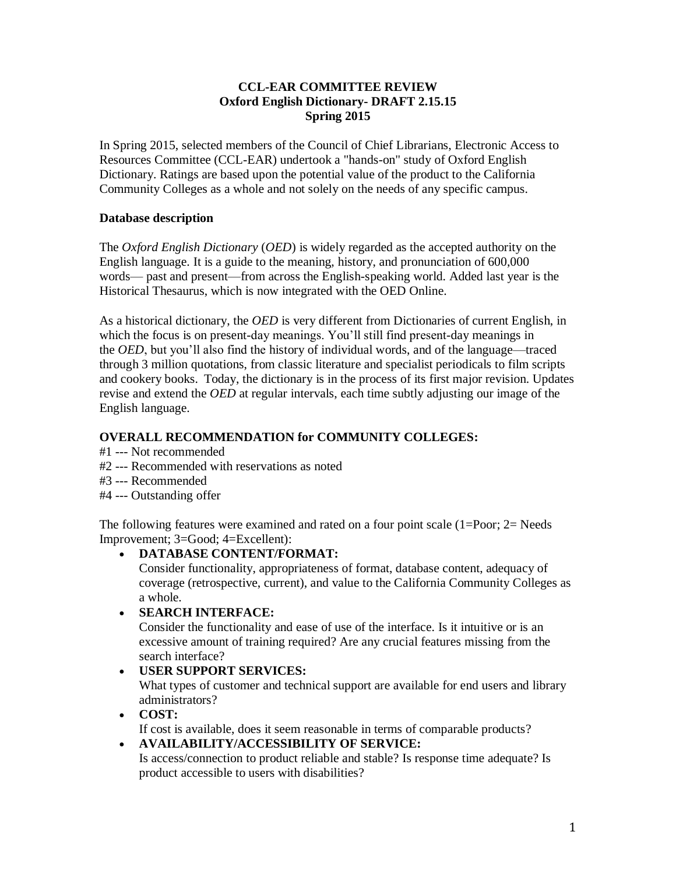# **CCL-EAR COMMITTEE REVIEW Oxford English Dictionary- DRAFT 2.15.15 Spring 2015**

In Spring 2015, selected members of the Council of Chief Librarians, Electronic Access to Resources Committee (CCL-EAR) undertook a "hands-on" study of Oxford English Dictionary. Ratings are based upon the potential value of the product to the California Community Colleges as a whole and not solely on the needs of any specific campus.

# **Database description**

The *Oxford English Dictionary* (*OED*) is widely regarded as the accepted authority on the English language. It is a guide to the meaning, history, and pronunciation of 600,000 words— past and present—from across the English-speaking world. Added last year is the Historical Thesaurus, which is now integrated with the OED Online.

As a historical dictionary, the *OED* is very different from Dictionaries of current English, in which the focus is on present-day meanings. You'll still find present-day meanings in the *OED*, but you'll also find the history of individual words, and of the language—traced through 3 million quotations, from classic literature and specialist periodicals to film scripts and cookery books. Today, the dictionary is in the process of its first major revision. Updates revise and extend the *OED* at regular intervals, each time subtly adjusting our image of the English language.

# **OVERALL RECOMMENDATION for COMMUNITY COLLEGES:**

- #1 --- Not recommended
- #2 --- Recommended with reservations as noted
- #3 --- Recommended
- #4 --- Outstanding offer

The following features were examined and rated on a four point scale (1=Poor; 2= Needs Improvement; 3=Good; 4=Excellent):

# **DATABASE CONTENT/FORMAT:**

Consider functionality, appropriateness of format, database content, adequacy of coverage (retrospective, current), and value to the California Community Colleges as a whole.

# **SEARCH INTERFACE:**

Consider the functionality and ease of use of the interface. Is it intuitive or is an excessive amount of training required? Are any crucial features missing from the search interface?

# **USER SUPPORT SERVICES:**

What types of customer and technical support are available for end users and library administrators?

# **COST:**

If cost is available, does it seem reasonable in terms of comparable products?

#### **AVAILABILITY/ACCESSIBILITY OF SERVICE:**

Is access/connection to product reliable and stable? Is response time adequate? Is product accessible to users with disabilities?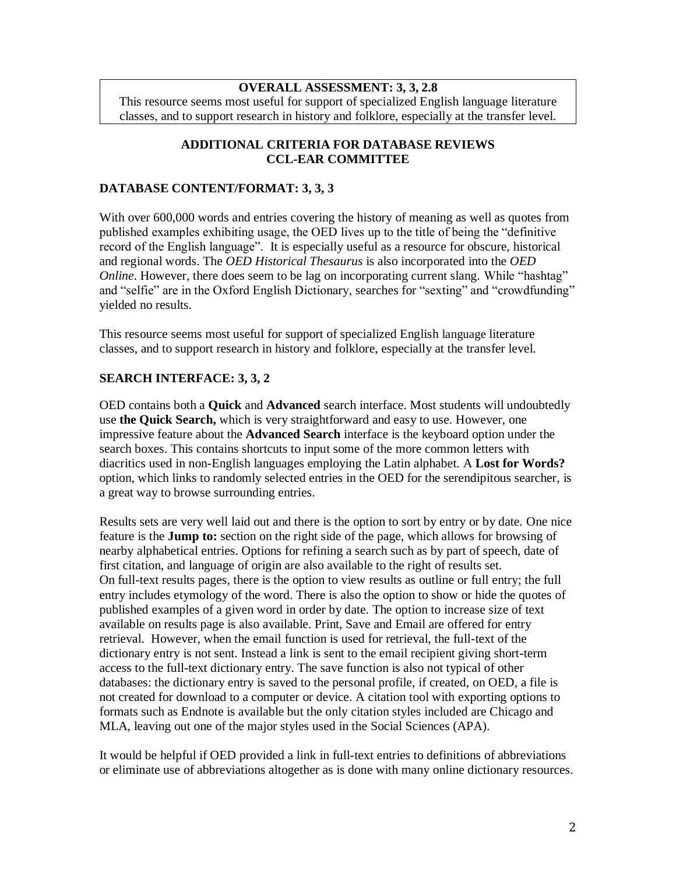# **OVERALL ASSESSMENT: 3, 3, 2.8**

This resource seems most useful for support of specialized English language literature classes, and to support research in history and folklore, especially at the transfer level.

### **ADDITIONAL CRITERIA FOR DATABASE REVIEWS CCL-EAR COMMITTEE**

### **DATABASE CONTENT/FORMAT: 3, 3, 3**

With over 600,000 words and entries covering the history of meaning as well as quotes from published examples exhibiting usage, the OED lives up to the title of being the "definitive record of the English language". It is especially useful as a resource for obscure, historical and regional words. The *OED Historical Thesaurus* is also incorporated into the *OED Online*. However, there does seem to be lag on incorporating current slang. While "hashtag" and "selfie" are in the Oxford English Dictionary, searches for "sexting" and "crowdfunding" yielded no results.

This resource seems most useful for support of specialized English language literature classes, and to support research in history and folklore, especially at the transfer level.

## **SEARCH INTERFACE: 3, 3, 2**

OED contains both a **Quick** and **Advanced** search interface. Most students will undoubtedly use **the Quick Search,** which is very straightforward and easy to use. However, one impressive feature about the **Advanced Search** interface is the keyboard option under the search boxes. This contains shortcuts to input some of the more common letters with diacritics used in non-English languages employing the Latin alphabet. A **Lost for Words?** option, which links to randomly selected entries in the OED for the serendipitous searcher, is a great way to browse surrounding entries.

Results sets are very well laid out and there is the option to sort by entry or by date. One nice feature is the **Jump to:** section on the right side of the page, which allows for browsing of nearby alphabetical entries. Options for refining a search such as by part of speech, date of first citation, and language of origin are also available to the right of results set. On full-text results pages, there is the option to view results as outline or full entry; the full entry includes etymology of the word. There is also the option to show or hide the quotes of published examples of a given word in order by date. The option to increase size of text available on results page is also available. Print, Save and Email are offered for entry retrieval. However, when the email function is used for retrieval, the full-text of the dictionary entry is not sent. Instead a link is sent to the email recipient giving short-term access to the full-text dictionary entry. The save function is also not typical of other databases: the dictionary entry is saved to the personal profile, if created, on OED, a file is not created for download to a computer or device. A citation tool with exporting options to formats such as Endnote is available but the only citation styles included are Chicago and MLA, leaving out one of the major styles used in the Social Sciences (APA).

It would be helpful if OED provided a link in full-text entries to definitions of abbreviations or eliminate use of abbreviations altogether as is done with many online dictionary resources.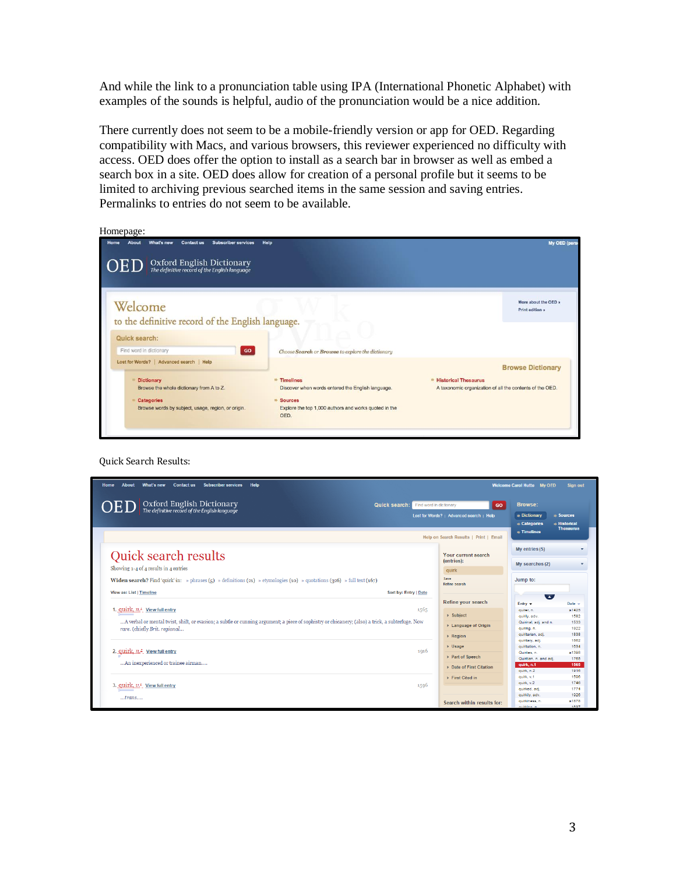And while the link to a pronunciation table using IPA (International Phonetic Alphabet) with examples of the sounds is helpful, audio of the pronunciation would be a nice addition.

There currently does not seem to be a mobile-friendly version or app for OED. Regarding compatibility with Macs, and various browsers, this reviewer experienced no difficulty with access. OED does offer the option to install as a search bar in browser as well as embed a search box in a site. OED does allow for creation of a personal profile but it seems to be limited to archiving previous searched items in the same session and saving entries. Permalinks to entries do not seem to be available.

| Homepage |  |
|----------|--|
|          |  |

| <b>Contact us</b><br><b>Subscriber services</b><br>What's new<br>Home<br>About                                                                                                       | Help                                                                                                                                                                  |                                                                                               | My OED (perso                           |
|--------------------------------------------------------------------------------------------------------------------------------------------------------------------------------------|-----------------------------------------------------------------------------------------------------------------------------------------------------------------------|-----------------------------------------------------------------------------------------------|-----------------------------------------|
| Oxford English Dictionary<br>The definitive record of the English language<br>OEL                                                                                                    |                                                                                                                                                                       |                                                                                               |                                         |
| Welcome<br>to the definitive record of the English language.                                                                                                                         |                                                                                                                                                                       |                                                                                               | More about the OED »<br>Print edition » |
| Quick search:<br>Find word in dictionary<br>GO                                                                                                                                       | Choose Search or Browse to explore the dictionary                                                                                                                     |                                                                                               |                                         |
| Lost for Words?   Advanced search   Help<br><b>Dictionary</b><br>Browse the whole dictionary from A to Z.<br><b>Categories</b><br>Browse words by subject, usage, region, or origin. | <sup>#</sup> Timelines<br>Discover when words entered the English language.<br>$\Rightarrow$ Sources<br>Explore the top 1,000 authors and works quoted in the<br>OED. | <sup>*</sup> Historical Thesaurus<br>A taxonomic organization of all the contents of the OED. | <b>Browse Dictionary</b>                |

Quick Search Results:

| <b>About</b><br>What's new<br><b>Contact us</b><br><b>Subscriber services</b><br>Help<br>Home                                                                                    |                                          | <b>Welcome Carol Hutte My OED</b>               | <b>Sign out</b>                       |
|----------------------------------------------------------------------------------------------------------------------------------------------------------------------------------|------------------------------------------|-------------------------------------------------|---------------------------------------|
| Oxford English Dictionary<br>The definitive record of the English language<br><b>Quick search:</b>                                                                               | Find word in dictionary<br>GO            | <b>Browse:</b>                                  |                                       |
|                                                                                                                                                                                  | Lost for Words?   Advanced search   Help | $\Rightarrow$ Dictionary                        | $\Rightarrow$ Sources                 |
|                                                                                                                                                                                  | Help on Search Results   Print   Email   | $\bullet$ Categories<br>$\rightarrow$ Timelines | <b>Historical</b><br><b>Thesaurus</b> |
| <b>Quick search results</b>                                                                                                                                                      | Your current search<br>(entries):        | My entries (5)                                  |                                       |
| Showing 1-4 of 4 results in 4 entries                                                                                                                                            | quirk                                    | My searches (2)                                 |                                       |
| Widen search? Find 'quirk' in: » phrases (5) » definitions (21) » etymologies (10) » quotations (326) » full text (167)                                                          | Save<br><b>Refine search</b>             | Jump to:                                        |                                       |
| View as: List   Timeline<br>Sort by: Entry   Date                                                                                                                                |                                          | $\overline{\phantom{a}}$                        |                                       |
|                                                                                                                                                                                  | Refine your search                       | Entry $\mathbf$                                 | Date -                                |
| 1. quirk, n. <sup>1</sup> View full entry<br>1565                                                                                                                                | $\triangleright$ Subject                 | quirer, n.<br>quirily, adv.                     | a1425<br>1582                         |
| A verbal or mental twist, shift, or evasion; a subtle or cunning argument; a piece of sophistry or chicanery; (also) a trick, a subterfuge. Now<br>rare. (chiefly Brit. regional | ▶ Language of Origin                     | Quirinal, adj. and n.<br>quiring, n.            | 1533<br>1922                          |
|                                                                                                                                                                                  | $\triangleright$ Region                  | quiritarian, adj.<br>quiritary, adj.            | 1838<br>1862                          |
|                                                                                                                                                                                  | $\triangleright$ Usage                   | quiritation, n.                                 | 1634                                  |
| 2. $quirk, n.$ <sup>2</sup> View full entry<br>1916                                                                                                                              | ▶ Part of Speech                         | Quirites, n.<br>Quiritian, n. and adj.          | a1398<br>1765                         |
| An inexperienced or trainee airman                                                                                                                                               | ▶ Date of First Citation                 | quirk, n.1<br>quirk, n.2                        | 1565<br>1916                          |
|                                                                                                                                                                                  | First Cited in                           | quirk, v.1                                      | 1596                                  |
| 3. $\alpha$ uirk, $v^2$ View full entry<br>1596                                                                                                                                  |                                          | quirk, v.2<br>quirked, adj.                     | 1746<br>1774                          |
|                                                                                                                                                                                  |                                          | quirkily, adv.                                  | 1926                                  |
| trans                                                                                                                                                                            | Search within results for:               | quirkiness, n.                                  | a1878                                 |
|                                                                                                                                                                                  |                                          | middlen n                                       | 1827                                  |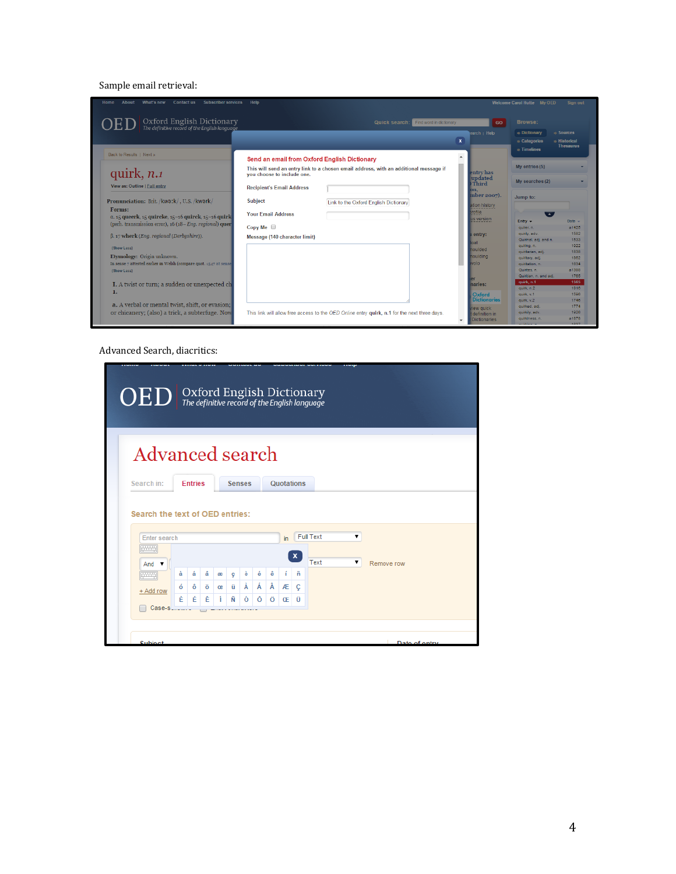#### Sample email retrieval:



Advanced Search, diacritics:

| <b>Advanced search</b><br>Search in:<br><b>Quotations</b><br><b>Entries</b><br><b>Senses</b><br>Search the text of OED entries:<br><b>Full Text</b><br>۳<br><b>Enter search</b><br>in<br><del>Tung</del><br>$\boldsymbol{x}$<br>Text<br>Remove row<br>And $\blacktriangledown$<br>à<br>á<br>â<br>è<br>é<br>ê<br>ñ<br>ç<br>æ<br>÷<br>严明<br>À<br>Á<br>Â<br>ü<br>Æ<br>ó<br>ô<br>ö<br>Ç<br>œ<br>+ Add row<br>È<br>É<br>Ê<br>Ñ<br>Ó<br>í<br>Ô<br>Ö<br>Ü<br>Œ | Case-s | $\mathrm{OED}$ Oxford English Dictionary |  |  |  |  |  |  |
|---------------------------------------------------------------------------------------------------------------------------------------------------------------------------------------------------------------------------------------------------------------------------------------------------------------------------------------------------------------------------------------------------------------------------------------------------------|--------|------------------------------------------|--|--|--|--|--|--|
|                                                                                                                                                                                                                                                                                                                                                                                                                                                         |        |                                          |  |  |  |  |  |  |
|                                                                                                                                                                                                                                                                                                                                                                                                                                                         |        |                                          |  |  |  |  |  |  |
|                                                                                                                                                                                                                                                                                                                                                                                                                                                         |        |                                          |  |  |  |  |  |  |
|                                                                                                                                                                                                                                                                                                                                                                                                                                                         |        |                                          |  |  |  |  |  |  |
|                                                                                                                                                                                                                                                                                                                                                                                                                                                         |        |                                          |  |  |  |  |  |  |
|                                                                                                                                                                                                                                                                                                                                                                                                                                                         |        |                                          |  |  |  |  |  |  |
|                                                                                                                                                                                                                                                                                                                                                                                                                                                         |        |                                          |  |  |  |  |  |  |
|                                                                                                                                                                                                                                                                                                                                                                                                                                                         |        |                                          |  |  |  |  |  |  |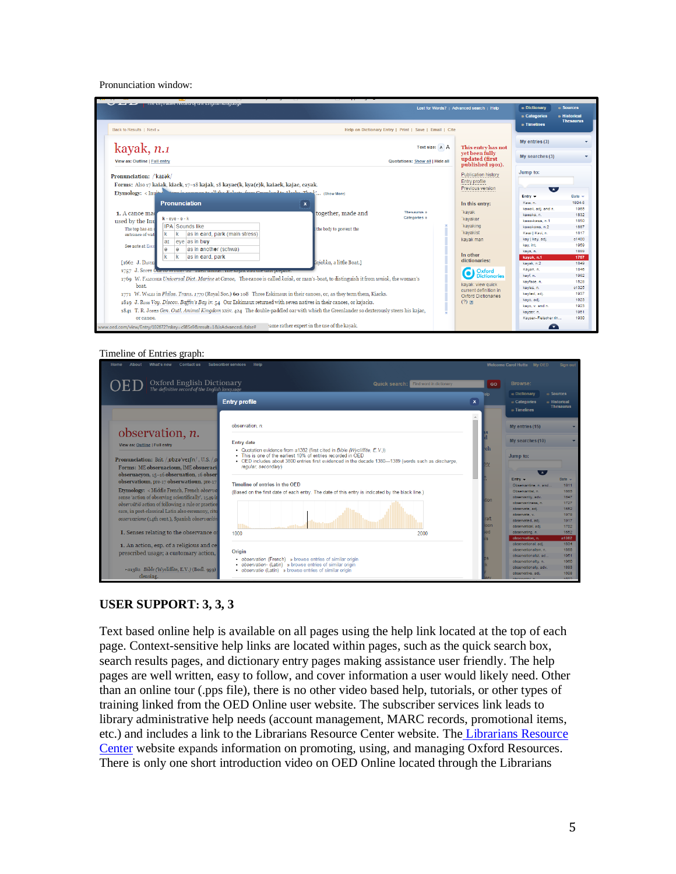#### Pronunciation window:



#### Timeline of Entries graph:



#### **USER SUPPORT: 3, 3, 3**

Text based online help is available on all pages using the help link located at the top of each page. Context-sensitive help links are located within pages, such as the quick search box, search results pages, and dictionary entry pages making assistance user friendly. The help pages are well written, easy to follow, and cover information a user would likely need. Other than an online tour (.pps file), there is no other video based help, tutorials, or other types of training linked from the OED Online user website. The subscriber services link leads to library administrative help needs (account management, MARC records, promotional items, etc.) and includes a link to the Librarians Resource Center website. The [Librarians Resource](http://www.oup.com/online/us/librarians/?view=usa)  [Center](http://www.oup.com/online/us/librarians/?view=usa) website expands information on promoting, using, and managing Oxford Resources. There is only one short introduction video on OED Online located through the Librarians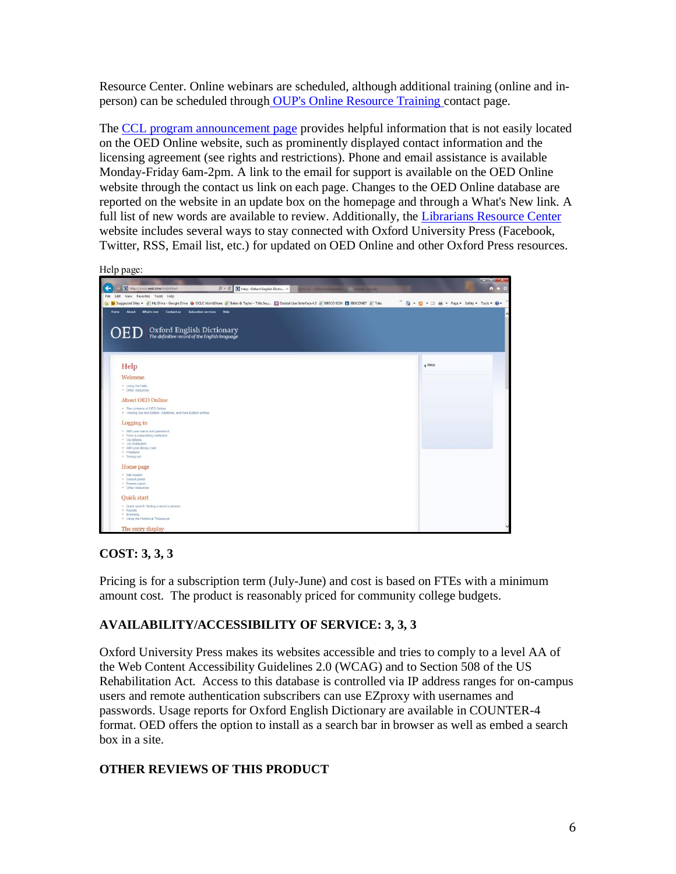Resource Center. Online webinars are scheduled, although additional training (online and inperson) can be scheduled through [OUP's Online Resource Training c](https://global.oup.com/academic/contactus/online-resources-training?cc=us%E2%8C%A9=en)ontact page.

The [CCL program announcement page](http://cclibraries.org/providers/oxford.html) provides helpful information that is not easily located on the OED Online website, such as prominently displayed contact information and the licensing agreement (see rights and restrictions). Phone and email assistance is available Monday-Friday 6am-2pm. A link to the email for support is available on the OED Online website through the contact us link on each page. Changes to the OED Online database are reported on the website in an update box on the homepage and through a What's New link. A full list of new words are available to review. Additionally, the [Librarians Resource Center](https://global.oup.com/academic/librarians/?cc=us%E2%8C%A9=en&) website includes several ways to stay connected with Oxford University Press (Facebook, Twitter, RSS, Email list, etc.) for updated on OED Online and other Oxford Press resources.

Help page:

| http://www.oed.com/help#start<br>$D - C$ <b>O</b> Help : Oxford English Dictio $\times$                                                                                                            |                                                                  | $\frac{1}{2} \left( \frac{1}{2} \right) \left( \frac{1}{2} \right) \left( \frac{1}{2} \right) \left( \frac{1}{2} \right) \left( \frac{1}{2} \right) \left( \frac{1}{2} \right) \left( \frac{1}{2} \right) \left( \frac{1}{2} \right) \left( \frac{1}{2} \right) \left( \frac{1}{2} \right) \left( \frac{1}{2} \right) \left( \frac{1}{2} \right) \left( \frac{1}{2} \right) \left( \frac{1}{2} \right) \left( \frac{1}{2} \right) \left( \frac{1}{2} \right) \left( \frac$<br>↑ ★ ☆ |
|----------------------------------------------------------------------------------------------------------------------------------------------------------------------------------------------------|------------------------------------------------------------------|-------------------------------------------------------------------------------------------------------------------------------------------------------------------------------------------------------------------------------------------------------------------------------------------------------------------------------------------------------------------------------------------------------------------------------------------------------------------------------------|
| File Edit View Favorites Tools Help<br>b Suggested Sites • 2 My Drive - Google Drive @ OCLC WorldShare 2 Baker & Taylor - Title Sou [3] Datatel User Interface 4.3 2 EBSCO ECM [3] EBSCONET 2 Tabs | <sup>26</sup> 个 同 → □ 曲 → Page → Safety → Tools <del>→ 回</del> → |                                                                                                                                                                                                                                                                                                                                                                                                                                                                                     |
| Contact us<br>Subscriber services<br><b>Help</b><br>What's new<br><b>Home</b><br><b>About</b><br>Oxford English Dictionary<br>The definitive record of the English language<br>)ED                 |                                                                  |                                                                                                                                                                                                                                                                                                                                                                                                                                                                                     |
|                                                                                                                                                                                                    |                                                                  |                                                                                                                                                                                                                                                                                                                                                                                                                                                                                     |
| Help                                                                                                                                                                                               | $\triangleleft$ Help                                             |                                                                                                                                                                                                                                                                                                                                                                                                                                                                                     |
| Welcome                                                                                                                                                                                            |                                                                  |                                                                                                                                                                                                                                                                                                                                                                                                                                                                                     |
| . Using the Help<br>· Other resources                                                                                                                                                              |                                                                  |                                                                                                                                                                                                                                                                                                                                                                                                                                                                                     |
| <b>About OED Online</b>                                                                                                                                                                            |                                                                  |                                                                                                                                                                                                                                                                                                                                                                                                                                                                                     |
| . The contents of OED Online<br>. Viewing Second Edition, Additions, and New Edition entries                                                                                                       |                                                                  |                                                                                                                                                                                                                                                                                                                                                                                                                                                                                     |
| Logging in                                                                                                                                                                                         |                                                                  |                                                                                                                                                                                                                                                                                                                                                                                                                                                                                     |
| . With user name and password<br>· From a subscribing institution<br>· Via Athens<br>· Via Shibboleth<br>. With your library card<br>· Problems<br>· Timing out                                    |                                                                  |                                                                                                                                                                                                                                                                                                                                                                                                                                                                                     |
| Home page                                                                                                                                                                                          |                                                                  |                                                                                                                                                                                                                                                                                                                                                                                                                                                                                     |
| · Site header<br>· Search panel<br>· Browse panel<br>· Other resources                                                                                                                             |                                                                  |                                                                                                                                                                                                                                                                                                                                                                                                                                                                                     |
| Quick start                                                                                                                                                                                        |                                                                  |                                                                                                                                                                                                                                                                                                                                                                                                                                                                                     |
| · Quick search: finding a word or phrase<br>· Results<br>· Browsing<br>. Using the Historical Thesaurus                                                                                            |                                                                  |                                                                                                                                                                                                                                                                                                                                                                                                                                                                                     |
| The entry display                                                                                                                                                                                  |                                                                  |                                                                                                                                                                                                                                                                                                                                                                                                                                                                                     |

# **COST: 3, 3, 3**

Pricing is for a subscription term (July-June) and cost is based on FTEs with a minimum amount cost. The product is reasonably priced for community college budgets.

# **AVAILABILITY/ACCESSIBILITY OF SERVICE: 3, 3, 3**

Oxford University Press makes its websites accessible and tries to comply to a level AA of the Web Content Accessibility Guidelines 2.0 (WCAG) and to Section 508 of the US Rehabilitation Act. Access to this database is controlled via IP address ranges for on-campus users and remote authentication subscribers can use EZproxy with usernames and passwords. Usage reports for Oxford English Dictionary are available in COUNTER-4 format. OED offers the option to install as a search bar in browser as well as embed a search box in a site.

# **OTHER REVIEWS OF THIS PRODUCT**